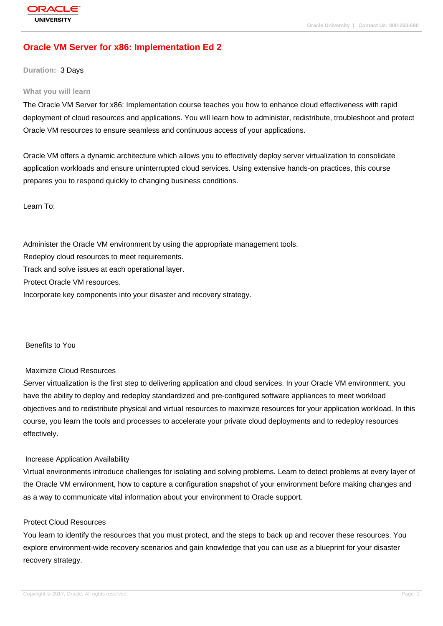# **[Oracle VM Serv](http://education.oracle.com/pls/web_prod-plq-dad/db_pages.getpage?page_id=3)er for x86: Implementation Ed 2**

**Duration:** 3 Days

#### **What you will learn**

The Oracle VM Server for x86: Implementation course teaches you how to enhance cloud effectiveness with rapid deployment of cloud resources and applications. You will learn how to administer, redistribute, troubleshoot and protect Oracle VM resources to ensure seamless and continuous access of your applications.

Oracle VM offers a dynamic architecture which allows you to effectively deploy server virtualization to consolidate application workloads and ensure uninterrupted cloud services. Using extensive hands-on practices, this course prepares you to respond quickly to changing business conditions.

Learn To:

Administer the Oracle VM environment by using the appropriate management tools.

Redeploy cloud resources to meet requirements.

Track and solve issues at each operational layer.

Protect Oracle VM resources.

Incorporate key components into your disaster and recovery strategy.

Benefits to You

### Maximize Cloud Resources

Server virtualization is the first step to delivering application and cloud services. In your Oracle VM environment, you have the ability to deploy and redeploy standardized and pre-configured software appliances to meet workload objectives and to redistribute physical and virtual resources to maximize resources for your application workload. In this course, you learn the tools and processes to accelerate your private cloud deployments and to redeploy resources effectively.

### Increase Application Availability

Virtual environments introduce challenges for isolating and solving problems. Learn to detect problems at every layer of the Oracle VM environment, how to capture a configuration snapshot of your environment before making changes and as a way to communicate vital information about your environment to Oracle support.

### Protect Cloud Resources

You learn to identify the resources that you must protect, and the steps to back up and recover these resources. You explore environment-wide recovery scenarios and gain knowledge that you can use as a blueprint for your disaster recovery strategy.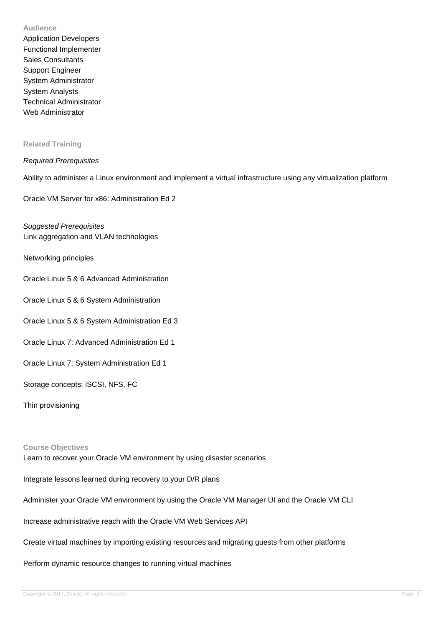### **Audience**

Application Developers Functional Implementer Sales Consultants Support Engineer System Administrator System Analysts Technical Administrator Web Administrator

### **Related Training**

### Required Prerequisites

Ability to administer a Linux environment and implement a virtual infrastructure using any virtualization platform

Oracle VM Server for x86: Administration Ed 2

Suggested Prerequisites Link aggregation and VLAN technologies

Networking principles

- Oracle Linux 5 & 6 Advanced Administration
- Oracle Linux 5 & 6 System Administration
- Oracle Linux 5 & 6 System Administration Ed 3
- Oracle Linux 7: Advanced Administration Ed 1
- Oracle Linux 7: System Administration Ed 1
- Storage concepts: iSCSI, NFS, FC
- Thin provisioning

### **Course Objectives**

Learn to recover your Oracle VM environment by using disaster scenarios

Integrate lessons learned during recovery to your D/R plans

Administer your Oracle VM environment by using the Oracle VM Manager UI and the Oracle VM CLI

Increase administrative reach with the Oracle VM Web Services API

Create virtual machines by importing existing resources and migrating guests from other platforms

Perform dynamic resource changes to running virtual machines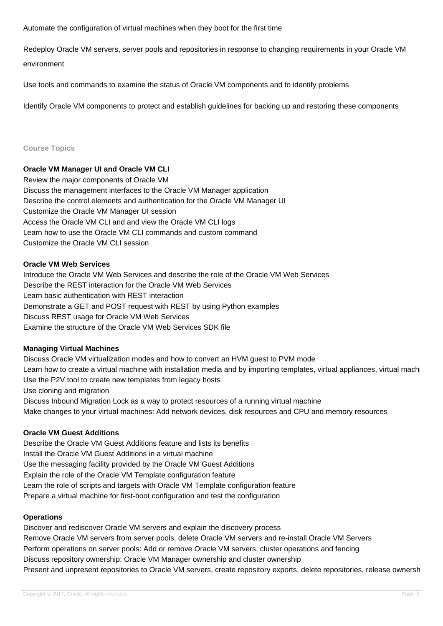Automate the configuration of virtual machines when they boot for the first time

Redeploy Oracle VM servers, server pools and repositories in response to changing requirements in your Oracle VM environment

Use tools and commands to examine the status of Oracle VM components and to identify problems

Identify Oracle VM components to protect and establish guidelines for backing up and restoring these components

## **Course Topics**

# **Oracle VM Manager UI and Oracle VM CLI**

Review the major components of Oracle VM Discuss the management interfaces to the Oracle VM Manager application Describe the control elements and authentication for the Oracle VM Manager UI Customize the Oracle VM Manager UI session Access the Oracle VM CLI and and view the Oracle VM CLI logs Learn how to use the Oracle VM CLI commands and custom command Customize the Oracle VM CLI session

## **Oracle VM Web Services**

Introduce the Oracle VM Web Services and describe the role of the Oracle VM Web Services Describe the REST interaction for the Oracle VM Web Services Learn basic authentication with REST interaction Demonstrate a GET and POST request with REST by using Python examples Discuss REST usage for Oracle VM Web Services Examine the structure of the Oracle VM Web Services SDK file

## **Managing Virtual Machines**

Discuss Oracle VM virtualization modes and how to convert an HVM guest to PVM mode Learn how to create a virtual machine with installation media and by importing templates, virtual appliances, virtual mach Use the P2V tool to create new templates from legacy hosts Use cloning and migration Discuss Inbound Migration Lock as a way to protect resources of a running virtual machine Make changes to your virtual machines: Add network devices, disk resources and CPU and memory resources

## **Oracle VM Guest Additions**

Describe the Oracle VM Guest Additions feature and lists its benefits Install the Oracle VM Guest Additions in a virtual machine Use the messaging facility provided by the Oracle VM Guest Additions Explain the role of the Oracle VM Template configuration feature Learn the role of scripts and targets with Oracle VM Template configuration feature Prepare a virtual machine for first-boot configuration and test the configuration

## **Operations**

Discover and rediscover Oracle VM servers and explain the discovery process Remove Oracle VM servers from server pools, delete Oracle VM servers and re-install Oracle VM Servers Perform operations on server pools: Add or remove Oracle VM servers, cluster operations and fencing Discuss repository ownership: Oracle VM Manager ownership and cluster ownership Present and unpresent repositories to Oracle VM servers, create repository exports, delete repositories, release ownersh